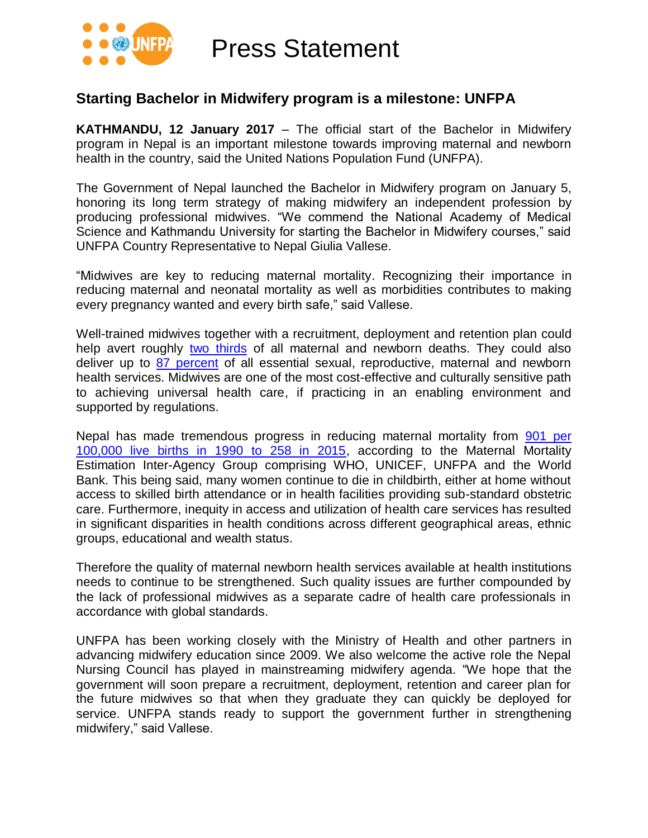

Press Statement

### **Starting Bachelor in Midwifery program is a milestone: UNFPA**

**KATHMANDU, 12 January 2017** – The official start of the Bachelor in Midwifery program in Nepal is an important milestone towards improving maternal and newborn health in the country, said the United Nations Population Fund (UNFPA).

The Government of Nepal launched the Bachelor in Midwifery program on January 5, honoring its long term strategy of making midwifery an independent profession by producing professional midwives. "We commend the National Academy of Medical Science and Kathmandu University for starting the Bachelor in Midwifery courses," said UNFPA Country Representative to Nepal Giulia Vallese.

"Midwives are key to reducing maternal mortality. Recognizing their importance in reducing maternal and neonatal mortality as well as morbidities contributes to making every pregnancy wanted and every birth safe," said Vallese.

Well-trained midwives together with a recruitment, deployment and retention plan could help avert roughly [two thirds](http://www.unfpa.org/sowmy) of all maternal and newborn deaths. They could also deliver up to [87 percent](http://www.unfpa.org/sowmy) of all essential sexual, reproductive, maternal and newborn health services. Midwives are one of the most cost-effective and culturally sensitive path to achieving universal health care, if practicing in an enabling environment and supported by regulations.

Nepal has made tremendous progress in reducing maternal mortality from 901 per [100,000 live births in 1990 to 258 in 2015,](http://apps.who.int/iris/bitstream/10665/194254/1/9789241565141_eng.pdf) according to the Maternal Mortality Estimation Inter-Agency Group comprising WHO, UNICEF, UNFPA and the World Bank. This being said, many women continue to die in childbirth, either at home without access to skilled birth attendance or in health facilities providing sub-standard obstetric care. Furthermore, inequity in access and utilization of health care services has resulted in significant disparities in health conditions across different geographical areas, ethnic groups, educational and wealth status.

Therefore the quality of maternal newborn health services available at health institutions needs to continue to be strengthened. Such quality issues are further compounded by the lack of professional midwives as a separate cadre of health care professionals in accordance with global standards.

UNFPA has been working closely with the Ministry of Health and other partners in advancing midwifery education since 2009. We also welcome the active role the Nepal Nursing Council has played in mainstreaming midwifery agenda. "We hope that the government will soon prepare a recruitment, deployment, retention and career plan for the future midwives so that when they graduate they can quickly be deployed for service. UNFPA stands ready to support the government further in strengthening midwifery," said Vallese.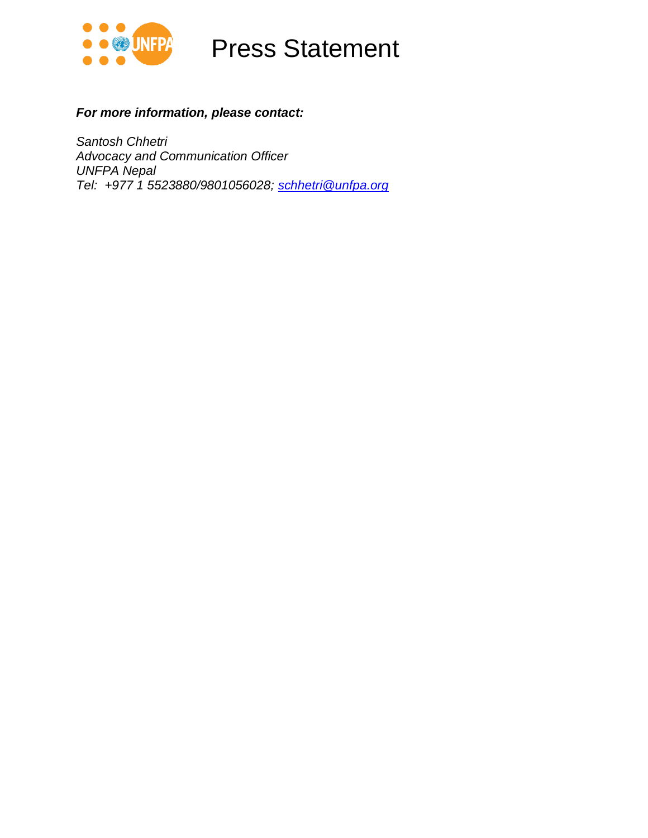

## Press Statement

#### *For more information, please contact:*

*Santosh Chhetri Advocacy and Communication Officer UNFPA Nepal Tel: +977 1 5523880/9801056028; [schhetri@unfpa.org](mailto:schhetri@unfpa.org)*